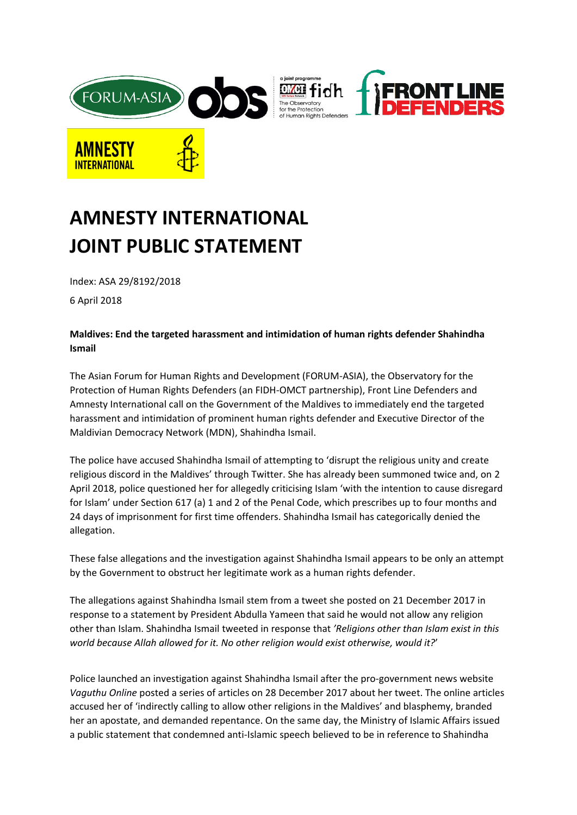

## **AMNESTY INTERNATIONAL JOINT PUBLIC STATEMENT**

Index: ASA 29/8192/2018

6 April 2018

## **Maldives: End the targeted harassment and intimidation of human rights defender Shahindha Ismail**

The Asian Forum for Human Rights and Development (FORUM-ASIA), the Observatory for the Protection of Human Rights Defenders (an FIDH-OMCT partnership), Front Line Defenders and Amnesty International call on the Government of the Maldives to immediately end the targeted harassment and intimidation of prominent human rights defender and Executive Director of the Maldivian Democracy Network (MDN), Shahindha Ismail.

The police have accused Shahindha Ismail of attempting to 'disrupt the religious unity and create religious discord in the Maldives' through Twitter. She has already been summoned twice and, on 2 April 2018, police questioned her for allegedly criticising Islam 'with the intention to cause disregard for Islam' under Section 617 (a) 1 and 2 of the Penal Code, which prescribes up to four months and 24 days of imprisonment for first time offenders. Shahindha Ismail has categorically denied the allegation.

These false allegations and the investigation against Shahindha Ismail appears to be only an attempt by the Government to obstruct her legitimate work as a human rights defender.

The allegations against Shahindha Ismail stem from a tweet she posted on 21 December 2017 in response to a statement by President Abdulla Yameen that said he would not allow any religion other than Islam. Shahindha Ismail tweeted in response that *'Religions other than Islam exist in this world because Allah allowed for it. No other religion would exist otherwise, would it?*'

Police launched an investigation against Shahindha Ismail after the pro-government news website *Vaguthu Online* posted a series of articles on 28 December 2017 about her tweet. The online articles accused her of 'indirectly calling to allow other religions in the Maldives' and blasphemy, branded her an apostate, and demanded repentance. On the same day, the Ministry of Islamic Affairs issued a public statement that condemned anti-Islamic speech believed to be in reference to Shahindha